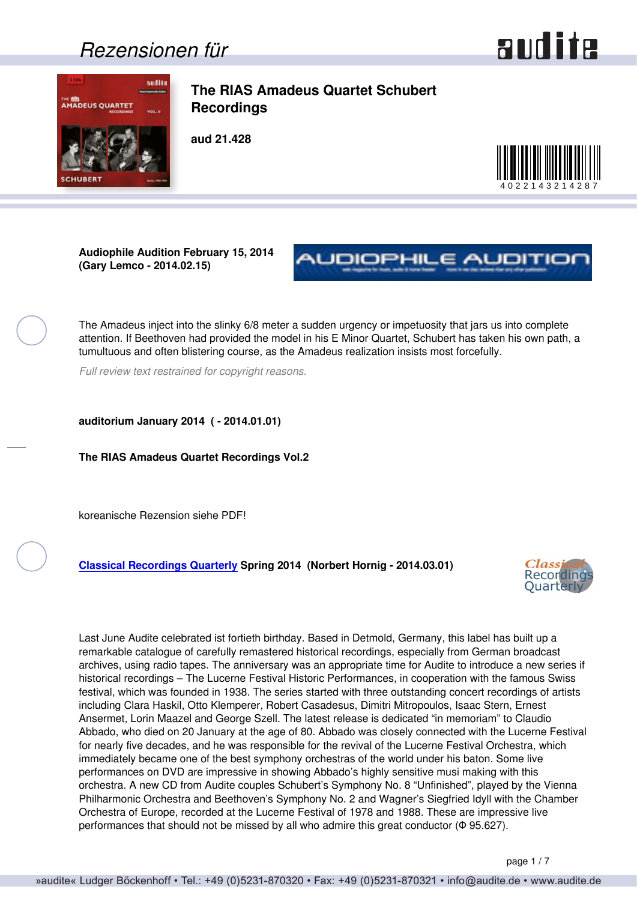### *Rezensionen für*



<span id="page-0-0"></span>

**The RIAS Amadeus Quartet Schubert Recordings**

**aud 21.428**



**Audiophile Audition February 15, 2014 (Gary Lemco - 2014.02.15)**



The Amadeus inject into the slinky 6/8 meter a sudden urgency or impetuosity that jars us into complete attention. If Beethoven had provided the model in his E Minor Quartet, Schubert has taken his own path, a tumultuous and often blistering course, as the Amadeus realization insists most forcefully.

*Full review text restrained for copyright reasons.*

**auditorium January 2014 ( - 2014.01.01)**

**The RIAS Amadeus Quartet Recordings Vol.2**

koreanische Rezension siehe PDF!

**[Classical Recordings Quarterly](http://crq.org.uk) Spring 2014 (Norbert Hornig - 2014.03.01)**



Last June Audite celebrated ist fortieth birthday. Based in Detmold, Germany, this label has built up a remarkable catalogue of carefully remastered historical recordings, especially from German broadcast archives, using radio tapes. The anniversary was an appropriate time for Audite to introduce a new series if historical recordings – The Lucerne Festival Historic Performances, in cooperation with the famous Swiss festival, which was founded in 1938. The series started with three outstanding concert recordings of artists including Clara Haskil, Otto Klemperer, Robert Casadesus, Dimitri Mitropoulos, Isaac Stern, Ernest Ansermet, Lorin Maazel and George Szell. The latest release is dedicated "in memoriam" to Claudio Abbado, who died on 20 January at the age of 80. Abbado was closely connected with the Lucerne Festival for nearly five decades, and he was responsible for the revival of the Lucerne Festival Orchestra, which immediately became one of the best symphony orchestras of the world under his baton. Some live performances on DVD are impressive in showing Abbado's highly sensitive musi making with this orchestra. A new CD from Audite couples Schubert's Symphony No. 8 "Unfinished", played by the Vienna Philharmonic Orchestra and Beethoven's Symphony No. 2 and Wagner's Siegfried Idyll with the Chamber Orchestra of Europe, recorded at the Lucerne Festival of 1978 and 1988. These are impressive live performances that should not be missed by all who admire this great conductor (Φ 95.627).

page 1 / 7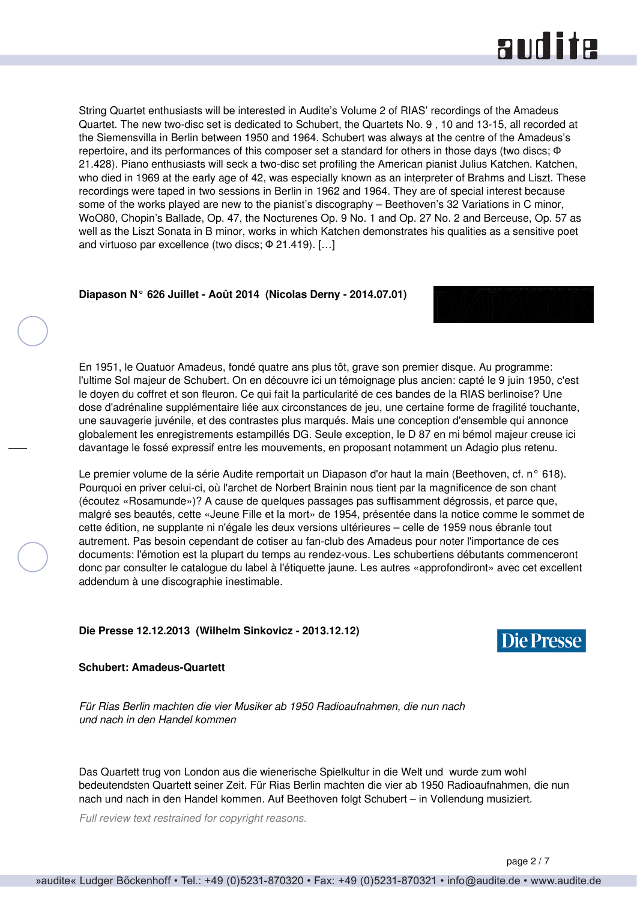### **RUD ite**

<span id="page-1-0"></span>String Quartet enthusiasts will be interested in Audite's Volume 2 of RIAS' recordings of the Amadeus Quartet. The new two-disc set is dedicated to Schubert, the Quartets No. 9 , 10 and 13-15, all recorded at the Siemensvilla in Berlin between 1950 and 1964. Schubert was always at the centre of the Amadeus's repertoire, and its performances of this composer set a standard for others in those days (two discs; Φ 21.428). Piano enthusiasts will seck a two-disc set profiling the American pianist Julius Katchen. Katchen, who died in 1969 at the early age of 42, was especially known as an interpreter of Brahms and Liszt. These recordings were taped in two sessions in Berlin in 1962 and 1964. They are of special interest because some of the works played are new to the pianist's discography – Beethoven's 32 Variations in C minor, WoO80, Chopin's Ballade, Op. 47, the Nocturenes Op. 9 No. 1 and Op. 27 No. 2 and Berceuse, Op. 57 as well as the Liszt Sonata in B minor, works in which Katchen demonstrates his qualities as a sensitive poet and virtuoso par excellence (two discs; Φ 21.419). […]

### **Diapason N° 626 Juillet - Août 2014 (Nicolas Derny - 2014.07.01)**

En 1951, le Quatuor Amadeus, fondé quatre ans plus tôt, grave son premier disque. Au programme: l'ultime Sol majeur de Schubert. On en découvre ici un témoignage plus ancien: capté le 9 juin 1950, c'est le doyen du coffret et son fleuron. Ce qui fait la particularité de ces bandes de la RIAS berlinoise? Une dose d'adrénaline supplémentaire liée aux circonstances de jeu, une certaine forme de fragilité touchante, une sauvagerie juvénile, et des contrastes plus marqués. Mais une conception d'ensemble qui annonce globalement les enregistrements estampillés DG. Seule exception, le D 87 en mi bémol majeur creuse ici davantage le fossé expressif entre les mouvements, en proposant notamment un Adagio plus retenu.

Le premier volume de la série Audite remportait un Diapason d'or haut la main (Beethoven, cf. n° 618). Pourquoi en priver celui-ci, où l'archet de Norbert Brainin nous tient par la magnificence de son chant (écoutez «Rosamunde»)? A cause de quelques passages pas suffisamment dégrossis, et parce que, malgré ses beautés, cette «Jeune Fille et la mort» de 1954, présentée dans la notice comme le sommet de cette édition, ne supplante ni n'égale les deux versions ultérieures – celle de 1959 nous ébranle tout autrement. Pas besoin cependant de cotiser au fan-club des Amadeus pour noter l'importance de ces documents: l'émotion est la plupart du temps au rendez-vous. Les schubertiens débutants commenceront donc par consulter le catalogue du label à l'étiquette jaune. Les autres «approfondiront» avec cet excellent addendum à une discographie inestimable.

### **Die Presse 12.12.2013 (Wilhelm Sinkovicz - 2013.12.12)**

### **Schubert: Amadeus-Quartett**

*Für Rias Berlin machten die vier Musiker ab 1950 Radioaufnahmen, die nun nach und nach in den Handel kommen*

Das Quartett trug von London aus die wienerische Spielkultur in die Welt und wurde zum wohl bedeutendsten Quartett seiner Zeit. Für Rias Berlin machten die vier ab 1950 Radioaufnahmen, die nun nach und nach in den Handel kommen. Auf Beethoven folgt Schubert – in Vollendung musiziert.

*Full review text restrained for copyright reasons.*



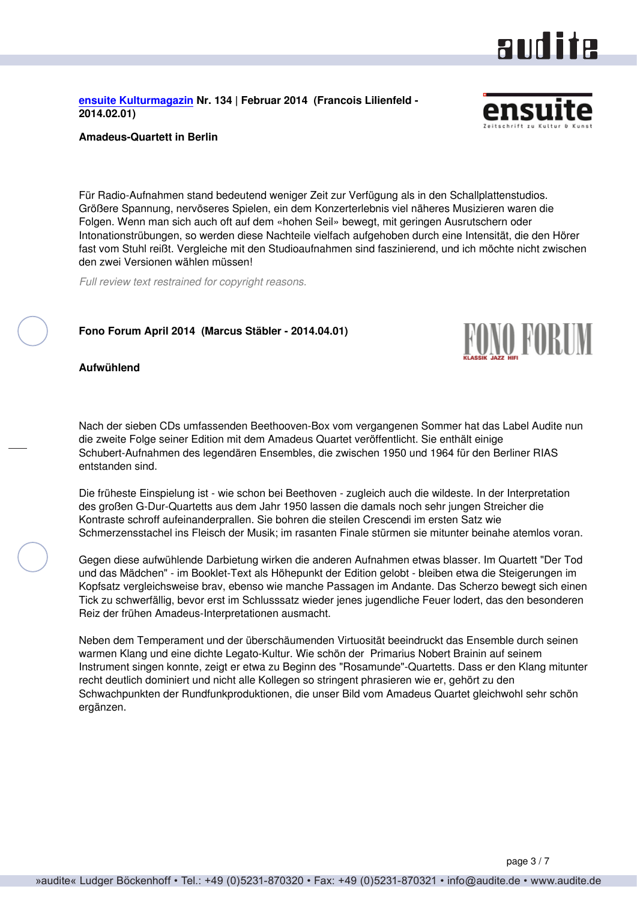<span id="page-2-0"></span>**[ensuite Kulturmagazin](http://www.ensuite.ch/) Nr. 134 | Februar 2014 (Francois Lilienfeld - 2014.02.01)**

#### **Amadeus-Quartett in Berlin**

Für Radio-Aufnahmen stand bedeutend weniger Zeit zur Verfügung als in den Schallplattenstudios. Größere Spannung, nervöseres Spielen, ein dem Konzerterlebnis viel näheres Musizieren waren die Folgen. Wenn man sich auch oft auf dem «hohen Seil» bewegt, mit geringen Ausrutschern oder Intonationstrübungen, so werden diese Nachteile vielfach aufgehoben durch eine Intensität, die den Hörer fast vom Stuhl reißt. Vergleiche mit den Studioaufnahmen sind faszinierend, und ich möchte nicht zwischen den zwei Versionen wählen müssen!

*Full review text restrained for copyright reasons.*

#### **Fono Forum April 2014 (Marcus Stäbler - 2014.04.01)**

**Aufwühlend**

Nach der sieben CDs umfassenden Beethooven-Box vom vergangenen Sommer hat das Label Audite nun die zweite Folge seiner Edition mit dem Amadeus Quartet veröffentlicht. Sie enthält einige Schubert-Aufnahmen des legendären Ensembles, die zwischen 1950 und 1964 für den Berliner RIAS entstanden sind.

Die früheste Einspielung ist - wie schon bei Beethoven - zugleich auch die wildeste. In der Interpretation des großen G-Dur-Quartetts aus dem Jahr 1950 lassen die damals noch sehr jungen Streicher die Kontraste schroff aufeinanderprallen. Sie bohren die steilen Crescendi im ersten Satz wie Schmerzensstachel ins Fleisch der Musik; im rasanten Finale stürmen sie mitunter beinahe atemlos voran.

Gegen diese aufwühlende Darbietung wirken die anderen Aufnahmen etwas blasser. Im Quartett "Der Tod und das Mädchen" - im Booklet-Text als Höhepunkt der Edition gelobt - bleiben etwa die Steigerungen im Kopfsatz vergleichsweise brav, ebenso wie manche Passagen im Andante. Das Scherzo bewegt sich einen Tick zu schwerfällig, bevor erst im Schlusssatz wieder jenes jugendliche Feuer lodert, das den besonderen Reiz der frühen Amadeus-Interpretationen ausmacht.

Neben dem Temperament und der überschäumenden Virtuosität beeindruckt das Ensemble durch seinen warmen Klang und eine dichte Legato-Kultur. Wie schön der Primarius Nobert Brainin auf seinem Instrument singen konnte, zeigt er etwa zu Beginn des "Rosamunde"-Quartetts. Dass er den Klang mitunter recht deutlich dominiert und nicht alle Kollegen so stringent phrasieren wie er, gehört zu den Schwachpunkten der Rundfunkproduktionen, die unser Bild vom Amadeus Quartet gleichwohl sehr schön ergänzen.



aud ite



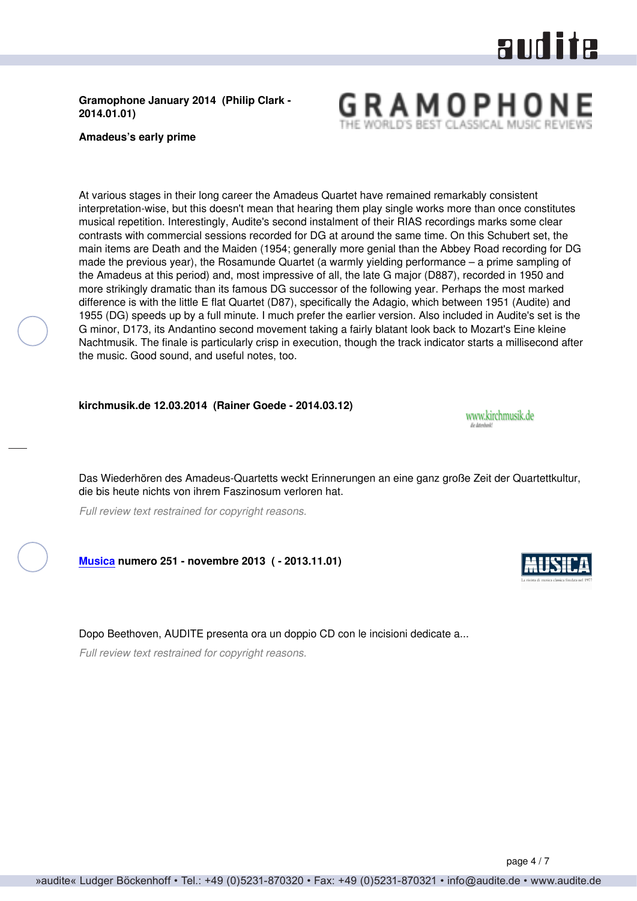# audite

### <span id="page-3-0"></span>**Gramophone January 2014 (Philip Clark - 2014.01.01)**

**Amadeus's early prime**

At various stages in their long career the Amadeus Quartet have remained remarkably consistent interpretation-wise, but this doesn't mean that hearing them play single works more than once constitutes musical repetition. Interestingly, Audite's second instalment of their RIAS recordings marks some clear contrasts with commercial sessions recorded for DG at around the same time. On this Schubert set, the main items are Death and the Maiden (1954; generally more genial than the Abbey Road recording for DG made the previous year), the Rosamunde Quartet (a warmly yielding performance – a prime sampling of the Amadeus at this period) and, most impressive of all, the late G major (D887), recorded in 1950 and more strikingly dramatic than its famous DG successor of the following year. Perhaps the most marked difference is with the little E flat Quartet (D87), specifically the Adagio, which between 1951 (Audite) and 1955 (DG) speeds up by a full minute. I much prefer the earlier version. Also included in Audite's set is the G minor, D173, its Andantino second movement taking a fairly blatant look back to Mozart's Eine kleine Nachtmusik. The finale is particularly crisp in execution, though the track indicator starts a millisecond after the music. Good sound, and useful notes, too.

**kirchmusik.de 12.03.2014 (Rainer Goede - 2014.03.12)**

Das Wiederhören des Amadeus-Quartetts weckt Erinnerungen an eine ganz große Zeit der Quartettkultur, die bis heute nichts von ihrem Faszinosum verloren hat.

*Full review text restrained for copyright reasons.*

**[Musica](http://www.rivistamusica.com) numero 251 - novembre 2013 ( - 2013.11.01)**

Dopo Beethoven, AUDITE presenta ora un doppio CD con le incisioni dedicate a...

*Full review text restrained for copyright reasons.*



www.kirchmusik.de Es Astrologo

GRAMOPHO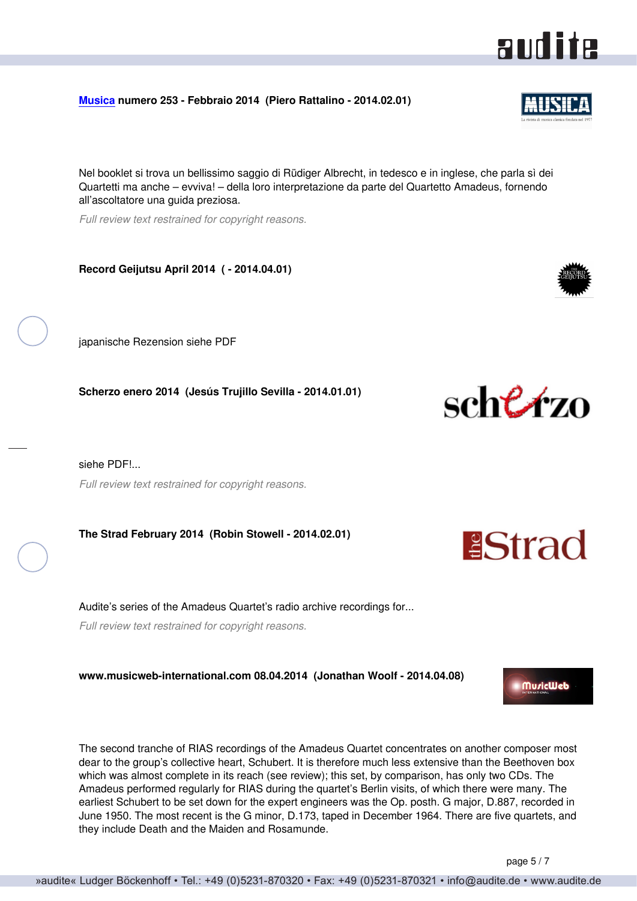<span id="page-4-0"></span>**[Musica](http://www.rivistamusica.com) numero 253 - Febbraio 2014 (Piero Rattalino - 2014.02.01)**

Nel booklet si trova un bellissimo saggio di Rüdiger Albrecht, in tedesco e in inglese, che parla sì dei Quartetti ma anche – evviva! – della loro interpretazione da parte del Quartetto Amadeus, fornendo all'ascoltatore una guida preziosa.

*Full review text restrained for copyright reasons.*

**Record Geijutsu April 2014 ( - 2014.04.01)**

japanische Rezension siehe PDF

**Scherzo enero 2014 (Jesús Trujillo Sevilla - 2014.01.01)**

siehe PDF!... *Full review text restrained for copyright reasons.*

**The Strad February 2014 (Robin Stowell - 2014.02.01)**

Audite's series of the Amadeus Quartet's radio archive recordings for... *Full review text restrained for copyright reasons.*

**www.musicweb-international.com 08.04.2014 (Jonathan Woolf - 2014.04.08)**

The second tranche of RIAS recordings of the Amadeus Quartet concentrates on another composer most dear to the group's collective heart, Schubert. It is therefore much less extensive than the Beethoven box which was almost complete in its reach (see review); this set, by comparison, has only two CDs. The Amadeus performed regularly for RIAS during the quartet's Berlin visits, of which there were many. The earliest Schubert to be set down for the expert engineers was the Op. posth. G major, D.887, recorded in June 1950. The most recent is the G minor, D.173, taped in December 1964. There are five quartets, and they include Death and the Maiden and Rosamunde.



**PStrad** 



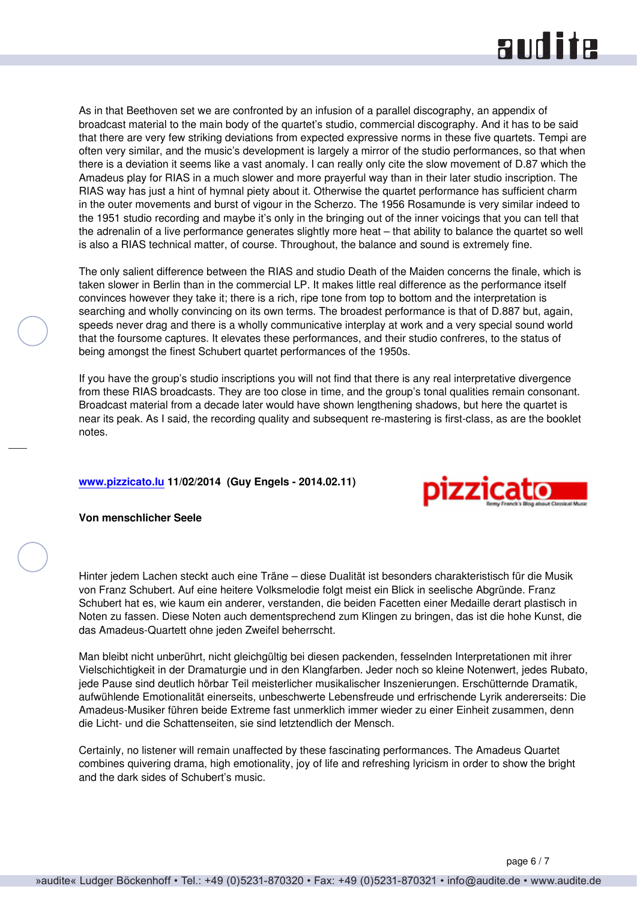## and ite

<span id="page-5-0"></span>As in that Beethoven set we are confronted by an infusion of a parallel discography, an appendix of broadcast material to the main body of the quartet's studio, commercial discography. And it has to be said that there are very few striking deviations from expected expressive norms in these five quartets. Tempi are often very similar, and the music's development is largely a mirror of the studio performances, so that when there is a deviation it seems like a vast anomaly. I can really only cite the slow movement of D.87 which the Amadeus play for RIAS in a much slower and more prayerful way than in their later studio inscription. The RIAS way has just a hint of hymnal piety about it. Otherwise the quartet performance has sufficient charm in the outer movements and burst of vigour in the Scherzo. The 1956 Rosamunde is very similar indeed to the 1951 studio recording and maybe it's only in the bringing out of the inner voicings that you can tell that the adrenalin of a live performance generates slightly more heat – that ability to balance the quartet so well is also a RIAS technical matter, of course. Throughout, the balance and sound is extremely fine.

The only salient difference between the RIAS and studio Death of the Maiden concerns the finale, which is taken slower in Berlin than in the commercial LP. It makes little real difference as the performance itself convinces however they take it; there is a rich, ripe tone from top to bottom and the interpretation is searching and wholly convincing on its own terms. The broadest performance is that of D.887 but, again, speeds never drag and there is a wholly communicative interplay at work and a very special sound world that the foursome captures. It elevates these performances, and their studio confreres, to the status of being amongst the finest Schubert quartet performances of the 1950s.

If you have the group's studio inscriptions you will not find that there is any real interpretative divergence from these RIAS broadcasts. They are too close in time, and the group's tonal qualities remain consonant. Broadcast material from a decade later would have shown lengthening shadows, but here the quartet is near its peak. As I said, the recording quality and subsequent re-mastering is first-class, as are the booklet notes.

### **[www.pizzicato.lu](http://www.pizzicato.lu) 11/02/2014 (Guy Engels - 2014.02.11)**



**Von menschlicher Seele**

Hinter jedem Lachen steckt auch eine Träne – diese Dualität ist besonders charakteristisch für die Musik von Franz Schubert. Auf eine heitere Volksmelodie folgt meist ein Blick in seelische Abgründe. Franz Schubert hat es, wie kaum ein anderer, verstanden, die beiden Facetten einer Medaille derart plastisch in Noten zu fassen. Diese Noten auch dementsprechend zum Klingen zu bringen, das ist die hohe Kunst, die das Amadeus-Quartett ohne jeden Zweifel beherrscht.

Man bleibt nicht unberührt, nicht gleichgültig bei diesen packenden, fesselnden Interpretationen mit ihrer Vielschichtigkeit in der Dramaturgie und in den Klangfarben. Jeder noch so kleine Notenwert, jedes Rubato, jede Pause sind deutlich hörbar Teil meisterlicher musikalischer Inszenierungen. Erschütternde Dramatik, aufwühlende Emotionalität einerseits, unbeschwerte Lebensfreude und erfrischende Lyrik andererseits: Die Amadeus-Musiker führen beide Extreme fast unmerklich immer wieder zu einer Einheit zusammen, denn die Licht- und die Schattenseiten, sie sind letztendlich der Mensch.

Certainly, no listener will remain unaffected by these fascinating performances. The Amadeus Quartet combines quivering drama, high emotionality, joy of life and refreshing lyricism in order to show the bright and the dark sides of Schubert's music.